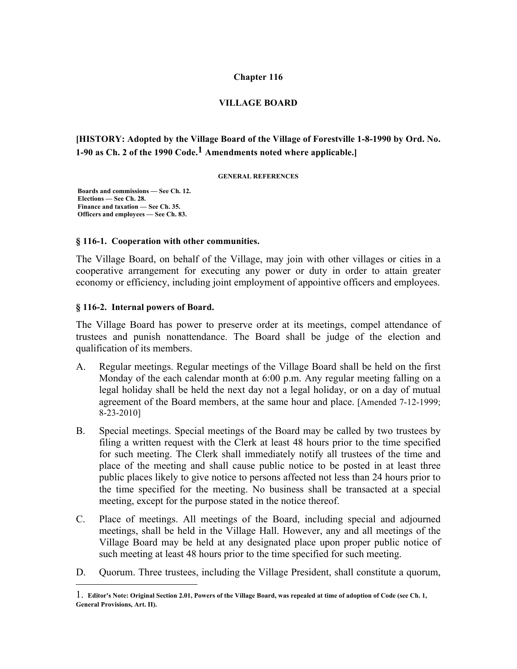#### **Chapter 116**

### **VILLAGE BOARD**

# **[HISTORY: Adopted by the Village Board of the Village of Forestville 1-8-1990 by Ord. No. 1-90 as Ch. 2 of the 1990 Code.1 Amendments noted where applicable.]**

**GENERAL REFERENCES**

**Boards and commissions — See Ch. 12. Elections — See Ch. 28. Finance and taxation — See Ch. 35. Officers and employees — See Ch. 83.**

#### **§ 116-1. Cooperation with other communities.**

The Village Board, on behalf of the Village, may join with other villages or cities in a cooperative arrangement for executing any power or duty in order to attain greater economy or efficiency, including joint employment of appointive officers and employees.

#### **§ 116-2. Internal powers of Board.**

 $\overline{a}$ 

The Village Board has power to preserve order at its meetings, compel attendance of trustees and punish nonattendance. The Board shall be judge of the election and qualification of its members.

- A. Regular meetings. Regular meetings of the Village Board shall be held on the first Monday of the each calendar month at 6:00 p.m. Any regular meeting falling on a legal holiday shall be held the next day not a legal holiday, or on a day of mutual agreement of the Board members, at the same hour and place. [Amended 7-12-1999; 8-23-2010]
- B. Special meetings. Special meetings of the Board may be called by two trustees by filing a written request with the Clerk at least 48 hours prior to the time specified for such meeting. The Clerk shall immediately notify all trustees of the time and place of the meeting and shall cause public notice to be posted in at least three public places likely to give notice to persons affected not less than 24 hours prior to the time specified for the meeting. No business shall be transacted at a special meeting, except for the purpose stated in the notice thereof.
- C. Place of meetings. All meetings of the Board, including special and adjourned meetings, shall be held in the Village Hall. However, any and all meetings of the Village Board may be held at any designated place upon proper public notice of such meeting at least 48 hours prior to the time specified for such meeting.
- D. Quorum. Three trustees, including the Village President, shall constitute a quorum,

<sup>1.</sup> **Editor's Note: Original Section 2.01, Powers of the Village Board, was repealed at time of adoption of Code (see Ch. 1, General Provisions, Art. II).**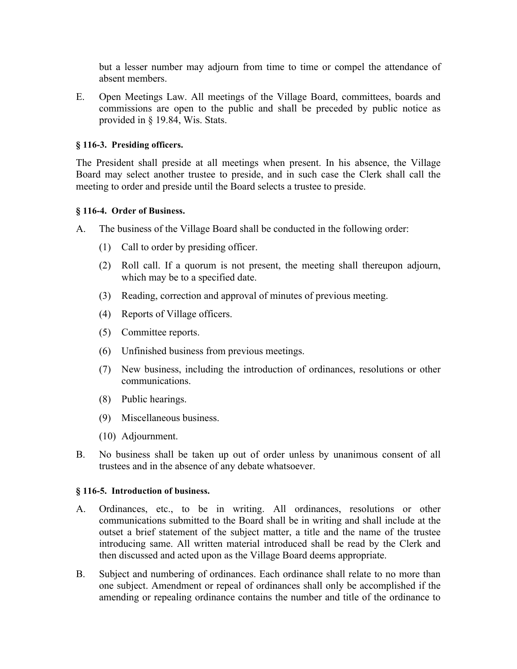but a lesser number may adjourn from time to time or compel the attendance of absent members.

E. Open Meetings Law. All meetings of the Village Board, committees, boards and commissions are open to the public and shall be preceded by public notice as provided in § 19.84, Wis. Stats.

### **§ 116-3. Presiding officers.**

The President shall preside at all meetings when present. In his absence, the Village Board may select another trustee to preside, and in such case the Clerk shall call the meeting to order and preside until the Board selects a trustee to preside.

#### **§ 116-4. Order of Business.**

- A. The business of the Village Board shall be conducted in the following order:
	- (1) Call to order by presiding officer.
	- (2) Roll call. If a quorum is not present, the meeting shall thereupon adjourn, which may be to a specified date.
	- (3) Reading, correction and approval of minutes of previous meeting.
	- (4) Reports of Village officers.
	- (5) Committee reports.
	- (6) Unfinished business from previous meetings.
	- (7) New business, including the introduction of ordinances, resolutions or other communications.
	- (8) Public hearings.
	- (9) Miscellaneous business.
	- (10) Adjournment.
- B. No business shall be taken up out of order unless by unanimous consent of all trustees and in the absence of any debate whatsoever.

## **§ 116-5. Introduction of business.**

- A. Ordinances, etc., to be in writing. All ordinances, resolutions or other communications submitted to the Board shall be in writing and shall include at the outset a brief statement of the subject matter, a title and the name of the trustee introducing same. All written material introduced shall be read by the Clerk and then discussed and acted upon as the Village Board deems appropriate.
- B. Subject and numbering of ordinances. Each ordinance shall relate to no more than one subject. Amendment or repeal of ordinances shall only be accomplished if the amending or repealing ordinance contains the number and title of the ordinance to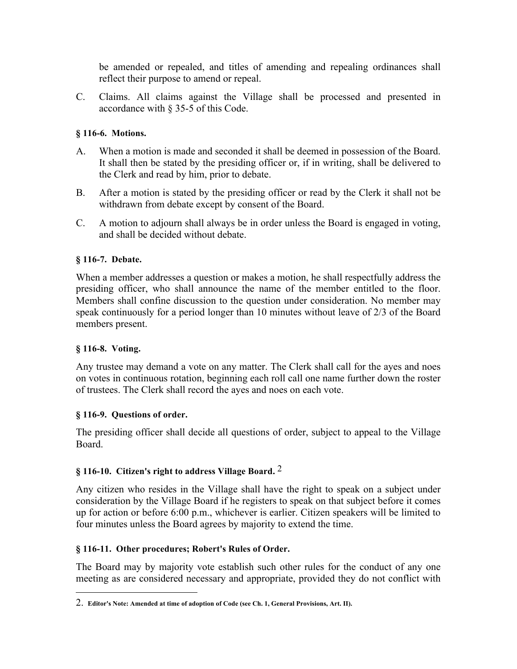be amended or repealed, and titles of amending and repealing ordinances shall reflect their purpose to amend or repeal.

C. Claims. All claims against the Village shall be processed and presented in accordance with § 35-5 of this Code.

# **§ 116-6. Motions.**

- A. When a motion is made and seconded it shall be deemed in possession of the Board. It shall then be stated by the presiding officer or, if in writing, shall be delivered to the Clerk and read by him, prior to debate.
- B. After a motion is stated by the presiding officer or read by the Clerk it shall not be withdrawn from debate except by consent of the Board.
- C. A motion to adjourn shall always be in order unless the Board is engaged in voting, and shall be decided without debate.

## **§ 116-7. Debate.**

When a member addresses a question or makes a motion, he shall respectfully address the presiding officer, who shall announce the name of the member entitled to the floor. Members shall confine discussion to the question under consideration. No member may speak continuously for a period longer than 10 minutes without leave of 2/3 of the Board members present.

## **§ 116-8. Voting.**

 $\overline{a}$ 

Any trustee may demand a vote on any matter. The Clerk shall call for the ayes and noes on votes in continuous rotation, beginning each roll call one name further down the roster of trustees. The Clerk shall record the ayes and noes on each vote.

## **§ 116-9. Questions of order.**

The presiding officer shall decide all questions of order, subject to appeal to the Village **Board** 

# **§ 116-10. Citizen's right to address Village Board.** 2

Any citizen who resides in the Village shall have the right to speak on a subject under consideration by the Village Board if he registers to speak on that subject before it comes up for action or before 6:00 p.m., whichever is earlier. Citizen speakers will be limited to four minutes unless the Board agrees by majority to extend the time.

# **§ 116-11. Other procedures; Robert's Rules of Order.**

The Board may by majority vote establish such other rules for the conduct of any one meeting as are considered necessary and appropriate, provided they do not conflict with

<sup>2.</sup> **Editor's Note: Amended at time of adoption of Code (see Ch. 1, General Provisions, Art. II).**